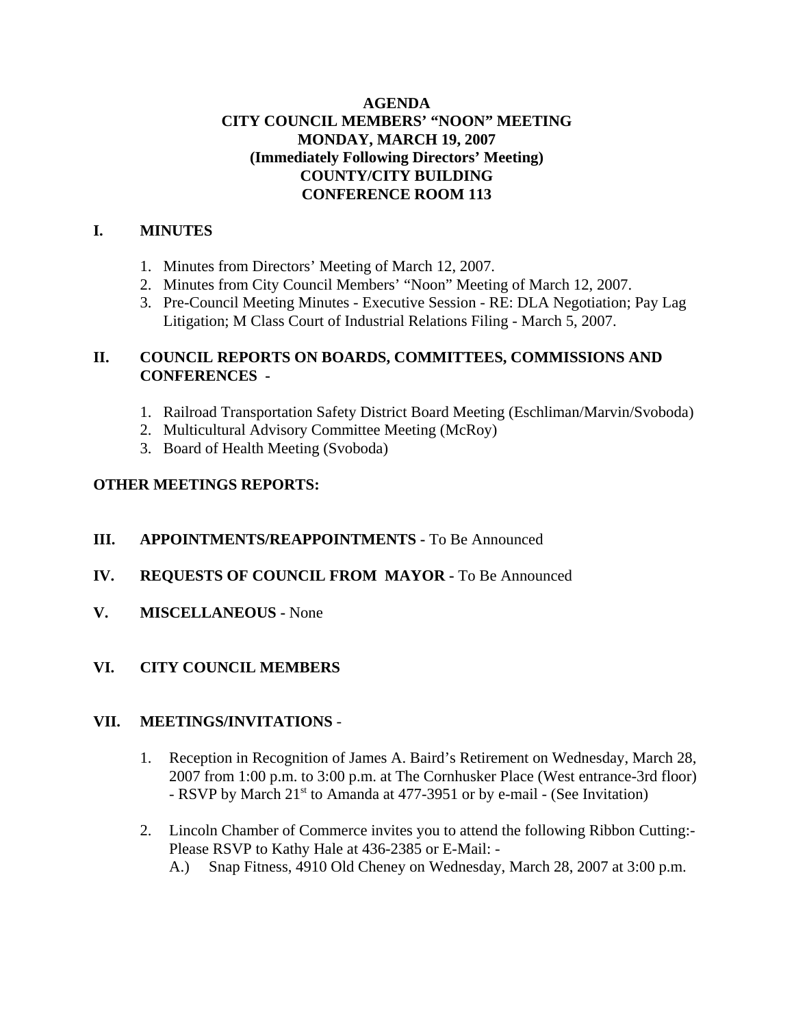## **AGENDA CITY COUNCIL MEMBERS' "NOON" MEETING MONDAY, MARCH 19, 2007 (Immediately Following Directors' Meeting) COUNTY/CITY BUILDING CONFERENCE ROOM 113**

#### **I. MINUTES**

- 1. Minutes from Directors' Meeting of March 12, 2007.
- 2. Minutes from City Council Members' "Noon" Meeting of March 12, 2007.
- 3. Pre-Council Meeting Minutes Executive Session RE: DLA Negotiation; Pay Lag Litigation; M Class Court of Industrial Relations Filing - March 5, 2007.

# **II. COUNCIL REPORTS ON BOARDS, COMMITTEES, COMMISSIONS AND CONFERENCES -**

- 1. Railroad Transportation Safety District Board Meeting (Eschliman/Marvin/Svoboda)
- 2. Multicultural Advisory Committee Meeting (McRoy)
- 3. Board of Health Meeting (Svoboda)

## **OTHER MEETINGS REPORTS:**

- **III.** APPOINTMENTS/REAPPOINTMENTS To Be Announced
- **IV. REQUESTS OF COUNCIL FROM MAYOR -** To Be Announced
- **V. MISCELLANEOUS** None

## **VI. CITY COUNCIL MEMBERS**

## **VII. MEETINGS/INVITATIONS** -

- 1. Reception in Recognition of James A. Baird's Retirement on Wednesday, March 28, 2007 from 1:00 p.m. to 3:00 p.m. at The Cornhusker Place (West entrance-3rd floor) - RSVP by March 21<sup>st</sup> to Amanda at 477-3951 or by e-mail - (See Invitation)
- 2. Lincoln Chamber of Commerce invites you to attend the following Ribbon Cutting:- Please RSVP to Kathy Hale at 436-2385 or E-Mail: -
	- A.) Snap Fitness, 4910 Old Cheney on Wednesday, March 28, 2007 at 3:00 p.m.